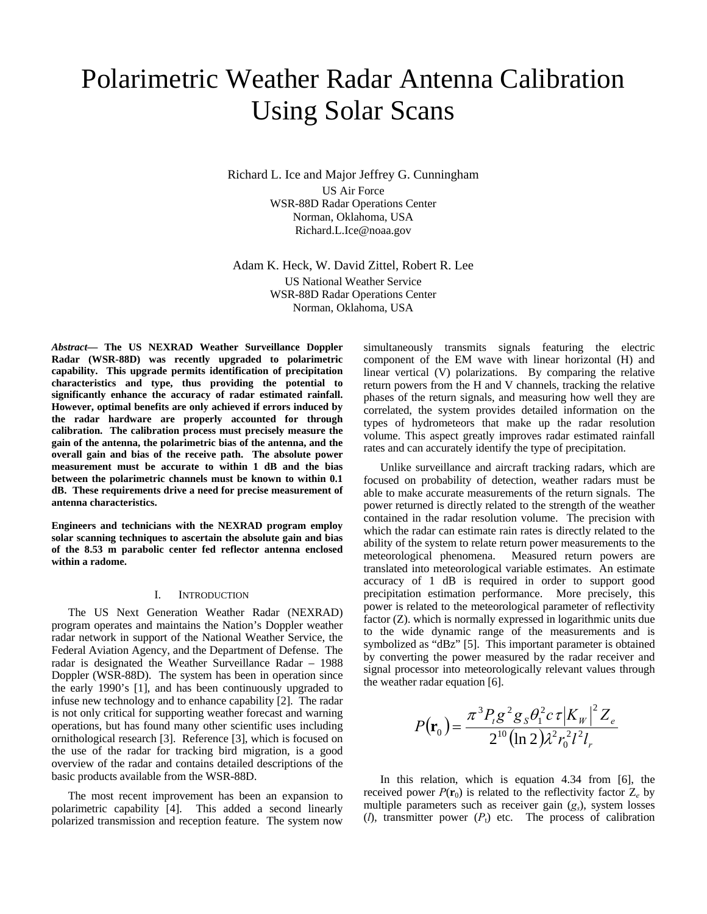# Polarimetric Weather Radar Antenna Calibration Using Solar Scans

Richard L. Ice and Major Jeffrey G. Cunningham US Air Force WSR-88D Radar Operations Center Norman, Oklahoma, USA Richard.L.Ice@noaa.gov

Adam K. Heck, W. David Zittel, Robert R. Lee US National Weather Service WSR-88D Radar Operations Center Norman, Oklahoma, USA

*Abstract***— The US NEXRAD Weather Surveillance Doppler Radar (WSR-88D) was recently upgraded to polarimetric capability. This upgrade permits identification of precipitation characteristics and type, thus providing the potential to significantly enhance the accuracy of radar estimated rainfall. However, optimal benefits are only achieved if errors induced by the radar hardware are properly accounted for through calibration. The calibration process must precisely measure the gain of the antenna, the polarimetric bias of the antenna, and the overall gain and bias of the receive path. The absolute power measurement must be accurate to within 1 dB and the bias between the polarimetric channels must be known to within 0.1 dB. These requirements drive a need for precise measurement of antenna characteristics.** 

**Engineers and technicians with the NEXRAD program employ solar scanning techniques to ascertain the absolute gain and bias of the 8.53 m parabolic center fed reflector antenna enclosed within a radome.** 

### I. INTRODUCTION

The US Next Generation Weather Radar (NEXRAD) program operates and maintains the Nation's Doppler weather radar network in support of the National Weather Service, the Federal Aviation Agency, and the Department of Defense. The radar is designated the Weather Surveillance Radar – 1988 Doppler (WSR-88D). The system has been in operation since the early 1990's [1], and has been continuously upgraded to infuse new technology and to enhance capability [2]. The radar is not only critical for supporting weather forecast and warning operations, but has found many other scientific uses including ornithological research [3]. Reference [3], which is focused on the use of the radar for tracking bird migration, is a good overview of the radar and contains detailed descriptions of the basic products available from the WSR-88D.

The most recent improvement has been an expansion to polarimetric capability [4]. This added a second linearly polarized transmission and reception feature. The system now

simultaneously transmits signals featuring the electric component of the EM wave with linear horizontal (H) and linear vertical (V) polarizations. By comparing the relative return powers from the H and V channels, tracking the relative phases of the return signals, and measuring how well they are correlated, the system provides detailed information on the types of hydrometeors that make up the radar resolution volume. This aspect greatly improves radar estimated rainfall rates and can accurately identify the type of precipitation.

Unlike surveillance and aircraft tracking radars, which are focused on probability of detection, weather radars must be able to make accurate measurements of the return signals. The power returned is directly related to the strength of the weather contained in the radar resolution volume. The precision with which the radar can estimate rain rates is directly related to the ability of the system to relate return power measurements to the meteorological phenomena. Measured return powers are translated into meteorological variable estimates. An estimate accuracy of 1 dB is required in order to support good precipitation estimation performance. More precisely, this power is related to the meteorological parameter of reflectivity factor (Z). which is normally expressed in logarithmic units due to the wide dynamic range of the measurements and is symbolized as "dBz" [5]. This important parameter is obtained by converting the power measured by the radar receiver and signal processor into meteorologically relevant values through the weather radar equation [6].

$$
P(\mathbf{r}_0) = \frac{\pi^3 P_t g^2 g_s \theta_1^2 c \tau |K_w|^2 Z_e}{2^{10} (\ln 2) \lambda^2 r_0^2 l^2 l_r}
$$

In this relation, which is equation 4.34 from [6], the received power  $P(\mathbf{r}_0)$  is related to the reflectivity factor  $Z_e$  by multiple parameters such as receiver gain (*gs*), system losses  $(l)$ , transmitter power  $(P_t)$  etc. The process of calibration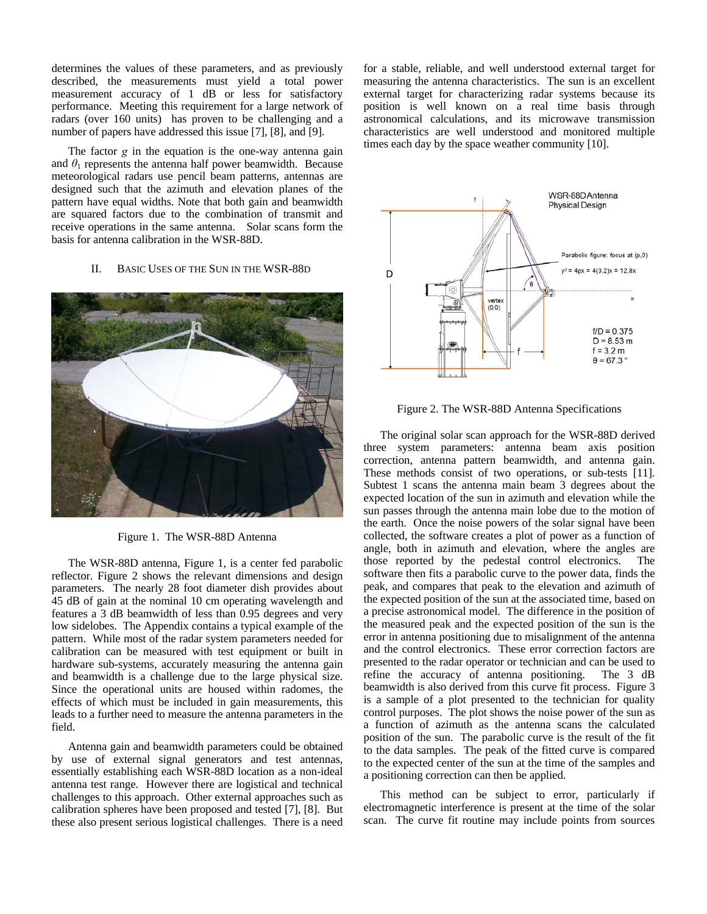determines the values of these parameters, and as previously described, the measurements must yield a total power measurement accuracy of 1 dB or less for satisfactory performance. Meeting this requirement for a large network of radars (over 160 units) has proven to be challenging and a number of papers have addressed this issue [7], [8], and [9].

The factor *g* in the equation is the one-way antenna gain and  $\theta_1$  represents the antenna half power beamwidth. Because meteorological radars use pencil beam patterns, antennas are designed such that the azimuth and elevation planes of the pattern have equal widths. Note that both gain and beamwidth are squared factors due to the combination of transmit and receive operations in the same antenna. Solar scans form the basis for antenna calibration in the WSR-88D.

## II. BASIC USES OF THE SUN IN THE WSR-88D



Figure 1. The WSR-88D Antenna

The WSR-88D antenna, Figure 1, is a center fed parabolic reflector. Figure 2 shows the relevant dimensions and design parameters. The nearly 28 foot diameter dish provides about 45 dB of gain at the nominal 10 cm operating wavelength and features a 3 dB beamwidth of less than 0.95 degrees and very low sidelobes. The Appendix contains a typical example of the pattern. While most of the radar system parameters needed for calibration can be measured with test equipment or built in hardware sub-systems, accurately measuring the antenna gain and beamwidth is a challenge due to the large physical size. Since the operational units are housed within radomes, the effects of which must be included in gain measurements, this leads to a further need to measure the antenna parameters in the field.

Antenna gain and beamwidth parameters could be obtained by use of external signal generators and test antennas, essentially establishing each WSR-88D location as a non-ideal antenna test range. However there are logistical and technical challenges to this approach. Other external approaches such as calibration spheres have been proposed and tested [7], [8]. But these also present serious logistical challenges. There is a need

for a stable, reliable, and well understood external target for measuring the antenna characteristics. The sun is an excellent external target for characterizing radar systems because its position is well known on a real time basis through astronomical calculations, and its microwave transmission characteristics are well understood and monitored multiple times each day by the space weather community [10].



Figure 2. The WSR-88D Antenna Specifications

The original solar scan approach for the WSR-88D derived three system parameters: antenna beam axis position correction, antenna pattern beamwidth, and antenna gain. These methods consist of two operations, or sub-tests [11]. Subtest 1 scans the antenna main beam 3 degrees about the expected location of the sun in azimuth and elevation while the sun passes through the antenna main lobe due to the motion of the earth. Once the noise powers of the solar signal have been collected, the software creates a plot of power as a function of angle, both in azimuth and elevation, where the angles are those reported by the pedestal control electronics. The software then fits a parabolic curve to the power data, finds the peak, and compares that peak to the elevation and azimuth of the expected position of the sun at the associated time, based on a precise astronomical model. The difference in the position of the measured peak and the expected position of the sun is the error in antenna positioning due to misalignment of the antenna and the control electronics. These error correction factors are presented to the radar operator or technician and can be used to refine the accuracy of antenna positioning. The 3 dB beamwidth is also derived from this curve fit process. Figure 3 is a sample of a plot presented to the technician for quality control purposes. The plot shows the noise power of the sun as a function of azimuth as the antenna scans the calculated position of the sun. The parabolic curve is the result of the fit to the data samples. The peak of the fitted curve is compared to the expected center of the sun at the time of the samples and a positioning correction can then be applied.

This method can be subject to error, particularly if electromagnetic interference is present at the time of the solar scan. The curve fit routine may include points from sources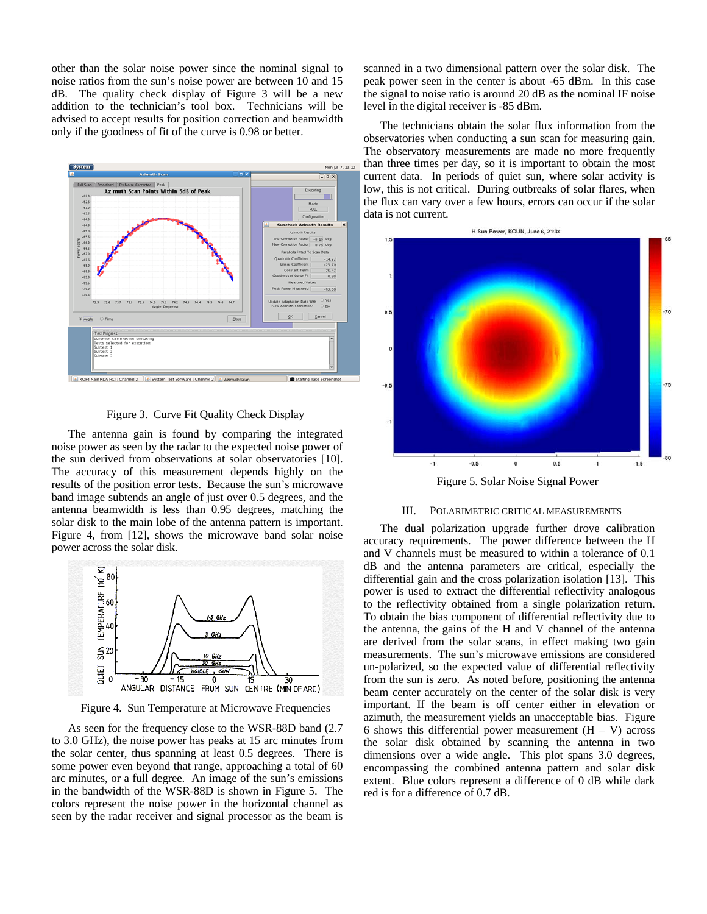other than the solar noise power since the nominal signal to noise ratios from the sun's noise power are between 10 and 15 dB. The quality check display of Figure 3 will be a new addition to the technician's tool box. Technicians will be advised to accept results for position correction and beamwidth only if the goodness of fit of the curve is 0.98 or better.



Figure 3. Curve Fit Quality Check Display

The antenna gain is found by comparing the integrated noise power as seen by the radar to the expected noise power of the sun derived from observations at solar observatories [10]. The accuracy of this measurement depends highly on the results of the position error tests. Because the sun's microwave band image subtends an angle of just over 0.5 degrees, and the antenna beamwidth is less than 0.95 degrees, matching the solar disk to the main lobe of the antenna pattern is important. Figure 4, from [12], shows the microwave band solar noise power across the solar disk.



Figure 4. Sun Temperature at Microwave Frequencies

As seen for the frequency close to the WSR-88D band (2.7 to 3.0 GHz), the noise power has peaks at 15 arc minutes from the solar center, thus spanning at least 0.5 degrees. There is some power even beyond that range, approaching a total of 60 arc minutes, or a full degree. An image of the sun's emissions in the bandwidth of the WSR-88D is shown in Figure 5. The colors represent the noise power in the horizontal channel as seen by the radar receiver and signal processor as the beam is

scanned in a two dimensional pattern over the solar disk. The peak power seen in the center is about -65 dBm. In this case the signal to noise ratio is around 20 dB as the nominal IF noise level in the digital receiver is -85 dBm.

The technicians obtain the solar flux information from the observatories when conducting a sun scan for measuring gain. The observatory measurements are made no more frequently than three times per day, so it is important to obtain the most current data. In periods of quiet sun, where solar activity is low, this is not critical. During outbreaks of solar flares, when the flux can vary over a few hours, errors can occur if the solar data is not current.



Figure 5. Solar Noise Signal Power

### III. POLARIMETRIC CRITICAL MEASUREMENTS

The dual polarization upgrade further drove calibration accuracy requirements. The power difference between the H and V channels must be measured to within a tolerance of 0.1 dB and the antenna parameters are critical, especially the differential gain and the cross polarization isolation [13]. This power is used to extract the differential reflectivity analogous to the reflectivity obtained from a single polarization return. To obtain the bias component of differential reflectivity due to the antenna, the gains of the H and V channel of the antenna are derived from the solar scans, in effect making two gain measurements. The sun's microwave emissions are considered un-polarized, so the expected value of differential reflectivity from the sun is zero. As noted before, positioning the antenna beam center accurately on the center of the solar disk is very important. If the beam is off center either in elevation or azimuth, the measurement yields an unacceptable bias. Figure 6 shows this differential power measurement  $(H - V)$  across the solar disk obtained by scanning the antenna in two dimensions over a wide angle. This plot spans 3.0 degrees, encompassing the combined antenna pattern and solar disk extent. Blue colors represent a difference of 0 dB while dark red is for a difference of 0.7 dB.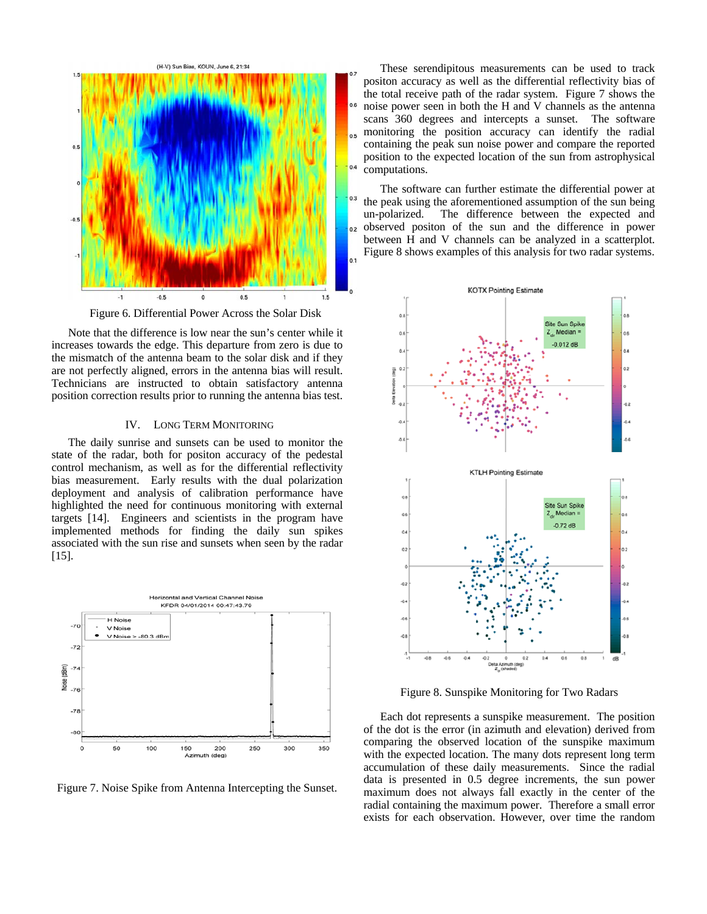

Figure 6. Differential Power Across the Solar Disk

Note that the difference is low near the sun's center while it increases towards the edge. This departure from zero is due to the mismatch of the antenna beam to the solar disk and if they are not perfectly aligned, errors in the antenna bias will result. Technicians are instructed to obtain satisfactory antenna position correction results prior to running the antenna bias test.

# IV. LONG TERM MONITORING

The daily sunrise and sunsets can be used to monitor the state of the radar, both for positon accuracy of the pedestal control mechanism, as well as for the differential reflectivity bias measurement. Early results with the dual polarization deployment and analysis of calibration performance have highlighted the need for continuous monitoring with external targets [14]. Engineers and scientists in the program have implemented methods for finding the daily sun spikes associated with the sun rise and sunsets when seen by the radar [15].



Figure 7. Noise Spike from Antenna Intercepting the Sunset.

These serendipitous measurements can be used to track positon accuracy as well as the differential reflectivity bias of the total receive path of the radar system. Figure 7 shows the  $0.6$ noise power seen in both the H and V channels as the antenna scans 360 degrees and intercepts a sunset. The software monitoring the position accuracy can identify the radial containing the peak sun noise power and compare the reported position to the expected location of the sun from astrophysical computations.

The software can further estimate the differential power at  $0.3$ the peak using the aforementioned assumption of the sun being un-polarized. The difference between the expected and observed positon of the sun and the difference in power between H and V channels can be analyzed in a scatterplot. Figure 8 shows examples of this analysis for two radar systems.



Figure 8. Sunspike Monitoring for Two Radars

Each dot represents a sunspike measurement. The position of the dot is the error (in azimuth and elevation) derived from comparing the observed location of the sunspike maximum with the expected location. The many dots represent long term accumulation of these daily measurements. Since the radial data is presented in 0.5 degree increments, the sun power maximum does not always fall exactly in the center of the radial containing the maximum power. Therefore a small error exists for each observation. However, over time the random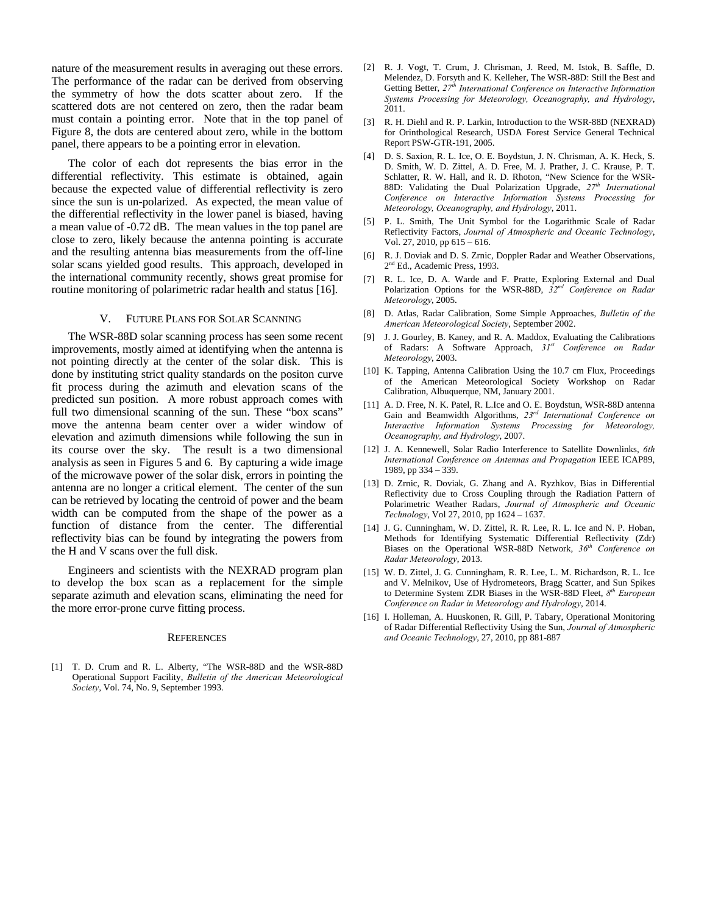nature of the measurement results in averaging out these errors. The performance of the radar can be derived from observing the symmetry of how the dots scatter about zero. If the scattered dots are not centered on zero, then the radar beam must contain a pointing error. Note that in the top panel of Figure 8, the dots are centered about zero, while in the bottom panel, there appears to be a pointing error in elevation.

The color of each dot represents the bias error in the differential reflectivity. This estimate is obtained, again because the expected value of differential reflectivity is zero since the sun is un-polarized. As expected, the mean value of the differential reflectivity in the lower panel is biased, having a mean value of -0.72 dB. The mean values in the top panel are close to zero, likely because the antenna pointing is accurate and the resulting antenna bias measurements from the off-line solar scans yielded good results. This approach, developed in the international community recently, shows great promise for routine monitoring of polarimetric radar health and status [16].

#### V. FUTURE PLANS FOR SOLAR SCANNING

The WSR-88D solar scanning process has seen some recent improvements, mostly aimed at identifying when the antenna is not pointing directly at the center of the solar disk. This is done by instituting strict quality standards on the positon curve fit process during the azimuth and elevation scans of the predicted sun position. A more robust approach comes with full two dimensional scanning of the sun. These "box scans" move the antenna beam center over a wider window of elevation and azimuth dimensions while following the sun in its course over the sky. The result is a two dimensional analysis as seen in Figures 5 and 6. By capturing a wide image of the microwave power of the solar disk, errors in pointing the antenna are no longer a critical element. The center of the sun can be retrieved by locating the centroid of power and the beam width can be computed from the shape of the power as a function of distance from the center. The differential reflectivity bias can be found by integrating the powers from the H and V scans over the full disk.

Engineers and scientists with the NEXRAD program plan to develop the box scan as a replacement for the simple separate azimuth and elevation scans, eliminating the need for the more error-prone curve fitting process.

#### **REFERENCES**

[1] T. D. Crum and R. L. Alberty, "The WSR-88D and the WSR-88D Operational Support Facility, *Bulletin of the American Meteorological Society*, Vol. 74, No. 9, September 1993.

- [2] R. J. Vogt, T. Crum, J. Chrisman, J. Reed, M. Istok, B. Saffle, D. Melendez, D. Forsyth and K. Kelleher, The WSR-88D: Still the Best and Getting Better, *27th International Conference on Interactive Information Systems Processing for Meteorology, Oceanography, and Hydrology*, 2011.
- [3] R. H. Diehl and R. P. Larkin, Introduction to the WSR-88D (NEXRAD) for Orinthological Research, USDA Forest Service General Technical Report PSW-GTR-191, 2005.
- [4] D. S. Saxion, R. L. Ice, O. E. Boydstun, J. N. Chrisman, A. K. Heck, S. D. Smith, W. D. Zittel, A. D. Free, M. J. Prather, J. C. Krause, P. T. Schlatter, R. W. Hall, and R. D. Rhoton, "New Science for the WSR-88D: Validating the Dual Polarization Upgrade, *27th International Conference on Interactive Information Systems Processing for Meteorology, Oceanography, and Hydrology*, 2011.
- [5] P. L. Smith, The Unit Symbol for the Logarithmic Scale of Radar Reflectivity Factors, *Journal of Atmospheric and Oceanic Technology*, Vol. 27, 2010, pp 615 – 616.
- [6] R. J. Doviak and D. S. Zrnic, Doppler Radar and Weather Observations, 2<sup>nd</sup> Ed., Academic Press, 1993.
- [7] R. L. Ice, D. A. Warde and F. Pratte, Exploring External and Dual Polarization Options for the WSR-88D, *32nd Conference on Radar Meteorology*, 2005.
- [8] D. Atlas, Radar Calibration, Some Simple Approaches, *Bulletin of the American Meteorological Society*, September 2002.
- [9] J. J. Gourley, B. Kaney, and R. A. Maddox, Evaluating the Calibrations of Radars: A Software Approach, *31st Conference on Radar Meteorology*, 2003.
- [10] K. Tapping, Antenna Calibration Using the 10.7 cm Flux, Proceedings of the American Meteorological Society Workshop on Radar Calibration, Albuquerque, NM, January 2001.
- [11] A. D. Free, N. K. Patel, R. L.Ice and O. E. Boydstun, WSR-88D antenna Gain and Beamwidth Algorithms, *23rd International Conference on Interactive Information Systems Processing for Meteorology, Oceanography, and Hydrology*, 2007.
- [12] J. A. Kennewell, Solar Radio Interference to Satellite Downlinks, *6th International Conference on Antennas and Propagation* IEEE ICAP89, 1989, pp 334 – 339.
- [13] D. Zrnic, R. Doviak, G. Zhang and A. Ryzhkov, Bias in Differential Reflectivity due to Cross Coupling through the Radiation Pattern of Polarimetric Weather Radars, *Journal of Atmospheric and Oceanic Technology*, Vol 27, 2010, pp 1624 – 1637.
- [14] J. G. Cunningham, W. D. Zittel, R. R. Lee, R. L. Ice and N. P. Hoban, Methods for Identifying Systematic Differential Reflectivity (Zdr) Biases on the Operational WSR-88D Network, *36th Conference on Radar Meteorology*, 2013.
- [15] W. D. Zittel, J. G. Cunningham, R. R. Lee, L. M. Richardson, R. L. Ice and V. Melnikov, Use of Hydrometeors, Bragg Scatter, and Sun Spikes to Determine System ZDR Biases in the WSR-88D Fleet, *8th European Conference on Radar in Meteorology and Hydrology*, 2014.
- [16] I. Holleman, A. Huuskonen, R. Gill, P. Tabary, Operational Monitoring of Radar Differential Reflectivity Using the Sun, *Journal of Atmospheric and Oceanic Technology*, 27, 2010, pp 881-887